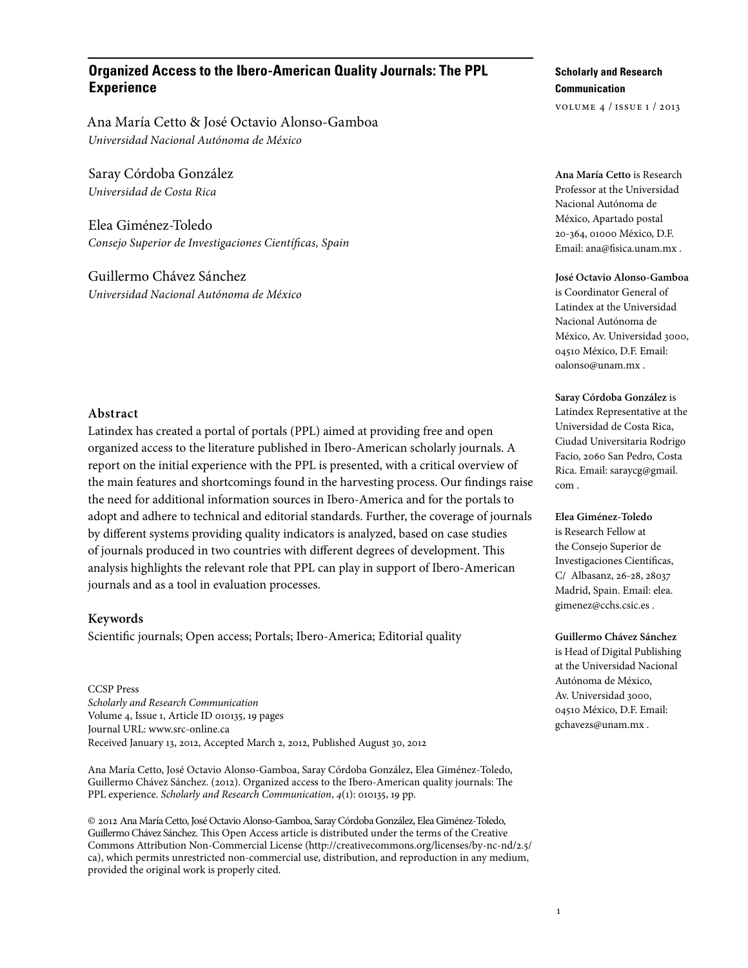# **Organized Access to the Ibero-American Quality Journals: The PPL Experience**

Ana María Cetto & José Octavio Alonso-Gamboa *Universidad Nacional Autónoma de México*

Saray Córdoba González *Universidad de Costa Rica*

Elea Giménez-Toledo *Consejo Superior de Investigaciones Científicas, Spain*

Guillermo Chávez Sánchez *Universidad Nacional Autónoma de México*

## **Abstract**

Latindex has created a portal of portals (PPL) aimed at providing free and open organized access to the literature published in Ibero-American scholarly journals. A report on the initial experience with the PPL is presented, with a critical overview of the main features and shortcomings found in the harvesting process. Our findings raise the need for additional information sources in Ibero-America and for the portals to adopt and adhere to technical and editorial standards. Further, the coverage of journals by different systems providing quality indicators is analyzed, based on case studies of journals produced in two countries with different degrees of development. This analysis highlights the relevant role that PPL can play in support of Ibero-American journals and as a tool in evaluation processes.

#### **Keywords**

Scientific journals; Open access; Portals; Ibero-America; Editorial quality

CCSP Press *Scholarly and Research Communication* Volume 4, Issue 1, Article ID 010135, 19 pages Journal URL: www.src-online.ca Received January 13, 2012, Accepted March 2, 2012, Published August 30, 2012

Ana María Cetto, José Octavio Alonso-Gamboa, Saray Córdoba González, Elea Giménez-Toledo, Guillermo Chávez Sánchez. (2012). Organized access to the Ibero-American quality journals: The PPL experience. *Scholarly and Research Communication*, *4*(1): 010135, 19 pp.

© 2012 Ana María Cetto, José Octavio Alonso-Gamboa, Saray Córdoba González, Elea Giménez-Toledo, Guillermo Chávez Sánchez. This Open Access article is distributed under the terms of the Creative Commons Attribution Non-Commercial License (http://creativecommons.org/licenses/by-nc-nd/2.5/ ca), which permits unrestricted non-commercial use, distribution, and reproduction in any medium, provided the original work is properly cited.

# **Scholarly and Research Communication**

volume 4 / issue 1 / 2013

**Ana María Cetto** is Research Professor at the Universidad Nacional Autónoma de México, Apartado postal 20-364, 01000 México, D.F. Email: ana@fisica.unam.mx .

#### **José Octavio Alonso-Gamboa**

is Coordinator General of Latindex at the Universidad Nacional Autónoma de México, Av. Universidad 3000, 04510 México, D.F. Email: oalonso@unam.mx .

#### **Saray Córdoba González** is

Latindex Representative at the Universidad de Costa Rica, Ciudad Universitaria Rodrigo Facio, 2060 San Pedro, Costa Rica. Email: saraycg@gmail. com .

### **Elea Giménez-Toledo**

is Research Fellow at the Consejo Superior de Investigaciones Científicas, C/ Albasanz, 26-28, 28037 Madrid, Spain. Email: elea. gimenez@cchs.csic.es .

**Guillermo Chávez Sánchez** is Head of Digital Publishing at the Universidad Nacional Autónoma de México, Av. Universidad 3000, 04510 México, D.F. Email: gchavezs@unam.mx .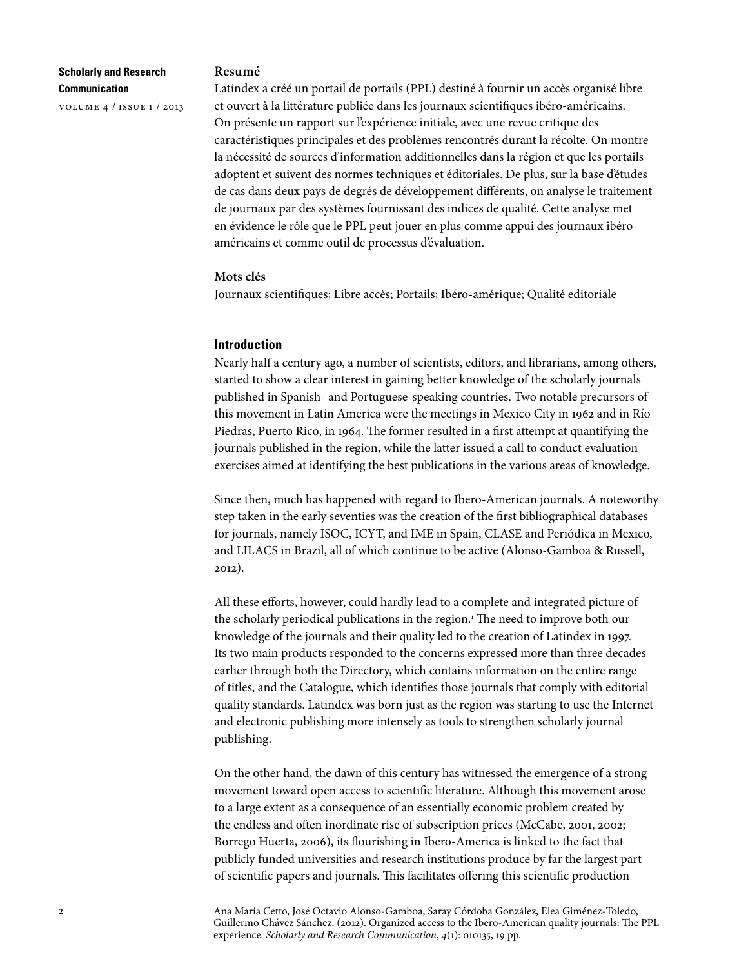volume 4 / issue 1 / 2013

#### **Resumé**

Latindex a créé un portail de portails (PPL) destiné à fournir un accès organisé libre et ouvert à la littérature publiée dans les journaux scientifiques ibéro-américains. On présente un rapport sur l'expérience initiale, avec une revue critique des caractéristiques principales et des problèmes rencontrés durant la récolte. On montre la nécessité de sources d'information additionnelles dans la région et que les portails adoptent et suivent des normes techniques et éditoriales. De plus, sur la base d'études de cas dans deux pays de degrés de développement différents, on analyse le traitement de journaux par des systèmes fournissant des indices de qualité. Cette analyse met en évidence le rôle que le PPL peut jouer en plus comme appui des journaux ibéroaméricains et comme outil de processus d'évaluation.

#### **Mots clés**

Journaux scientifiques; Libre accès; Portails; Ibéro-amérique; Qualité editoriale

### **Introduction**

Nearly half a century ago, a number of scientists, editors, and librarians, among others, started to show a clear interest in gaining better knowledge of the scholarly journals published in Spanish- and Portuguese-speaking countries. Two notable precursors of this movement in Latin America were the meetings in Mexico City in 1962 and in Río Piedras, Puerto Rico, in 1964. The former resulted in a first attempt at quantifying the journals published in the region, while the latter issued a call to conduct evaluation exercises aimed at identifying the best publications in the various areas of knowledge.

Since then, much has happened with regard to Ibero-American journals. A noteworthy step taken in the early seventies was the creation of the first bibliographical databases for journals, namely ISOC, ICYT, and IME in Spain, CLASE and Periódica in Mexico, and LILACS in Brazil, all of which continue to be active (Alonso-Gamboa & Russell, 2012).

All these efforts, however, could hardly lead to a complete and integrated picture of the scholarly periodical publications in the region.<sup>1</sup> The need to improve both our knowledge of the journals and their quality led to the creation of Latindex in 1997. Its two main products responded to the concerns expressed more than three decades earlier through both the Directory, which contains information on the entire range of titles, and the Catalogue, which identifies those journals that comply with editorial quality standards. Latindex was born just as the region was starting to use the Internet and electronic publishing more intensely as tools to strengthen scholarly journal publishing.

On the other hand, the dawn of this century has witnessed the emergence of a strong movement toward open access to scientific literature. Although this movement arose to a large extent as a consequence of an essentially economic problem created by the endless and often inordinate rise of subscription prices (McCabe, 2001, 2002; Borrego Huerta, 2006), its flourishing in Ibero-America is linked to the fact that publicly funded universities and research institutions produce by far the largest part of scientific papers and journals. This facilitates offering this scientific production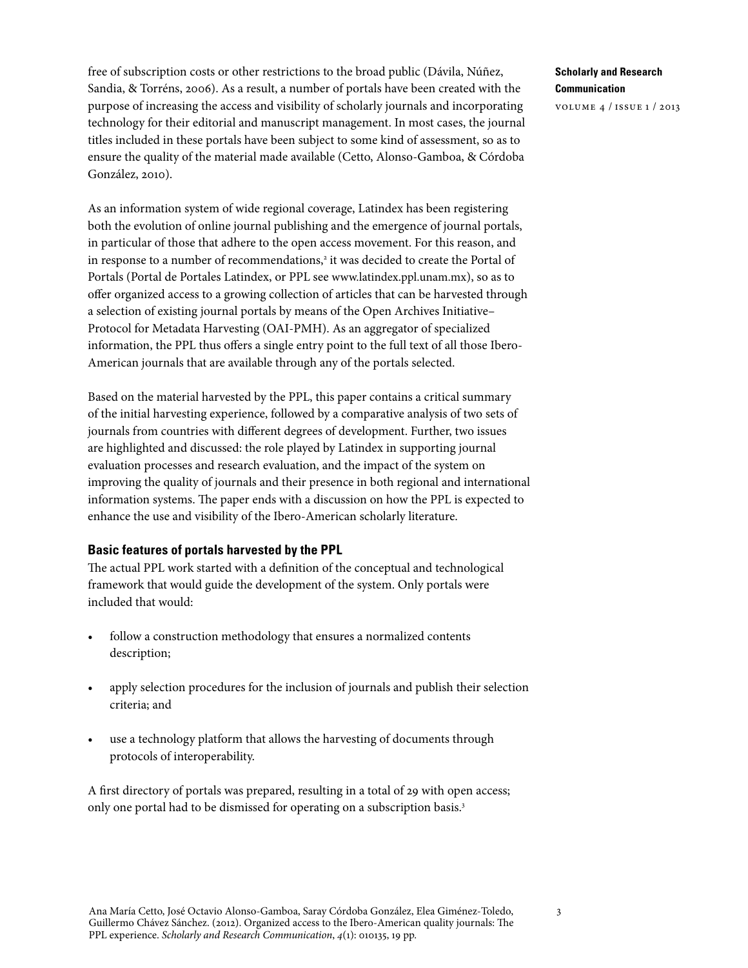free of subscription costs or other restrictions to the broad public (Dávila, Núñez, Sandia, & Torréns, 2006). As a result, a number of portals have been created with the purpose of increasing the access and visibility of scholarly journals and incorporating technology for their editorial and manuscript management. In most cases, the journal titles included in these portals have been subject to some kind of assessment, so as to ensure the quality of the material made available (Cetto, Alonso-Gamboa, & Córdoba González, 2010).

As an information system of wide regional coverage, Latindex has been registering both the evolution of online journal publishing and the emergence of journal portals, in particular of those that adhere to the open access movement. For this reason, and in response to a number of recommendations,<sup>2</sup> it was decided to create the Portal of Portals (Portal de Portales Latindex, or PPL see [www.latindex.ppl.unam.mx\)](http://www.latindex.ppl.unam.mx), so as to offer organized access to a growing collection of articles that can be harvested through a selection of existing journal portals by means of the Open Archives Initiative– Protocol for Metadata Harvesting (OAI-PMH). As an aggregator of specialized information, the PPL thus offers a single entry point to the full text of all those Ibero-American journals that are available through any of the portals selected.

Based on the material harvested by the PPL, this paper contains a critical summary of the initial harvesting experience, followed by a comparative analysis of two sets of journals from countries with different degrees of development. Further, two issues are highlighted and discussed: the role played by Latindex in supporting journal evaluation processes and research evaluation, and the impact of the system on improving the quality of journals and their presence in both regional and international information systems. The paper ends with a discussion on how the PPL is expected to enhance the use and visibility of the Ibero-American scholarly literature.

# **Basic features of portals harvested by the PPL**

The actual PPL work started with a definition of the conceptual and technological framework that would guide the development of the system. Only portals were included that would:

- follow a construction methodology that ensures a normalized contents description;
- apply selection procedures for the inclusion of journals and publish their selection criteria; and
- use a technology platform that allows the harvesting of documents through protocols of interoperability.

A first directory of portals was prepared, resulting in a total of 29 with open access; only one portal had to be dismissed for operating on a subscription basis.3

# **Scholarly and Research Communication**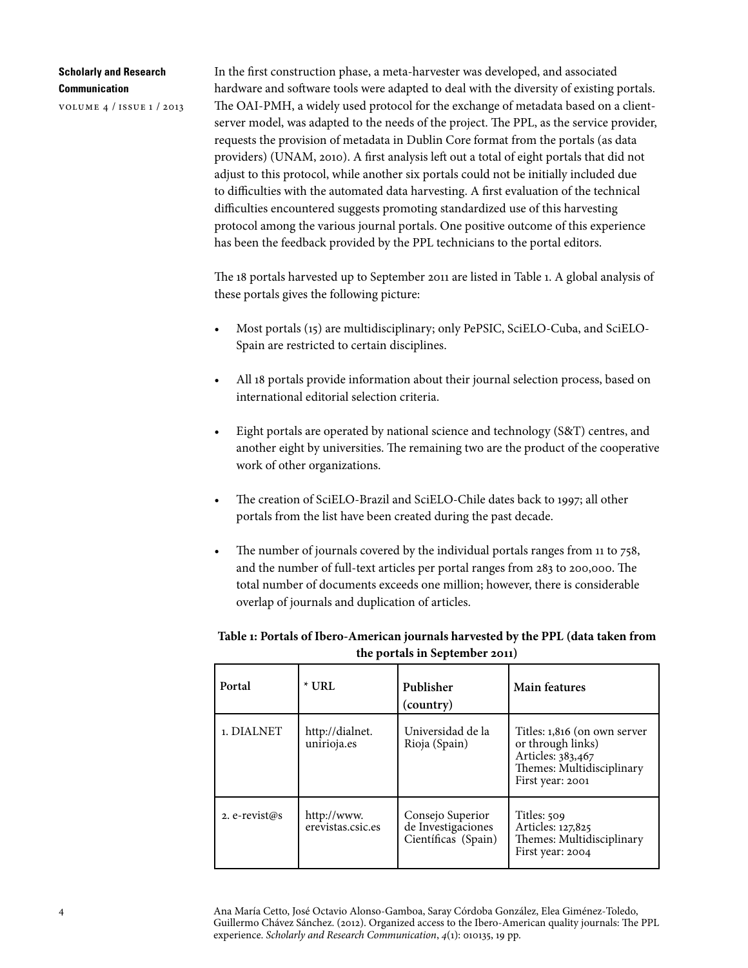volume 4 / issue 1 / 2013

In the first construction phase, a meta-harvester was developed, and associated hardware and software tools were adapted to deal with the diversity of existing portals. The OAI-PMH, a widely used protocol for the exchange of metadata based on a clientserver model, was adapted to the needs of the project. The PPL, as the service provider, requests the provision of metadata in Dublin Core format from the portals (as data providers) (UNAM, 2010). A first analysis left out a total of eight portals that did not adjust to this protocol, while another six portals could not be initially included due to difficulties with the automated data harvesting. A first evaluation of the technical difficulties encountered suggests promoting standardized use of this harvesting protocol among the various journal portals. One positive outcome of this experience has been the feedback provided by the PPL technicians to the portal editors.

The 18 portals harvested up to September 2011 are listed in Table 1. A global analysis of these portals gives the following picture:

- • Most portals (15) are multidisciplinary; only PePSIC, SciELO-Cuba, and SciELO-Spain are restricted to certain disciplines.
- All 18 portals provide information about their journal selection process, based on international editorial selection criteria.
- Eight portals are operated by national science and technology (S&T) centres, and another eight by universities. The remaining two are the product of the cooperative work of other organizations.
- The creation of SciELO-Brazil and SciELO-Chile dates back to 1997; all other portals from the list have been created during the past decade.
- The number of journals covered by the individual portals ranges from 11 to 758, and the number of full-text articles per portal ranges from 283 to 200,000. The total number of documents exceeds one million; however, there is considerable overlap of journals and duplication of articles.

# **Table 1: Portals of Ibero-American journals harvested by the PPL (data taken from the portals in September 2011)**

| Portal        | $*$ URL                          | Publisher<br>(country)                                        | Main features                                                                                                           |
|---------------|----------------------------------|---------------------------------------------------------------|-------------------------------------------------------------------------------------------------------------------------|
| 1. DIALNET    | http://dialnet.<br>unirioja.es   | Universidad de la<br>Rioja (Spain)                            | Titles: 1,816 (on own server<br>or through links)<br>Articles: 383,467<br>Themes: Multidisciplinary<br>First year: 2001 |
| 2. e-revist@s | http://www.<br>erevistas.csic.es | Consejo Superior<br>de Investigaciones<br>Científicas (Spain) | Titles: 509<br>Articles: 127,825<br>Themes: Multidisciplinary<br>First year: 2004                                       |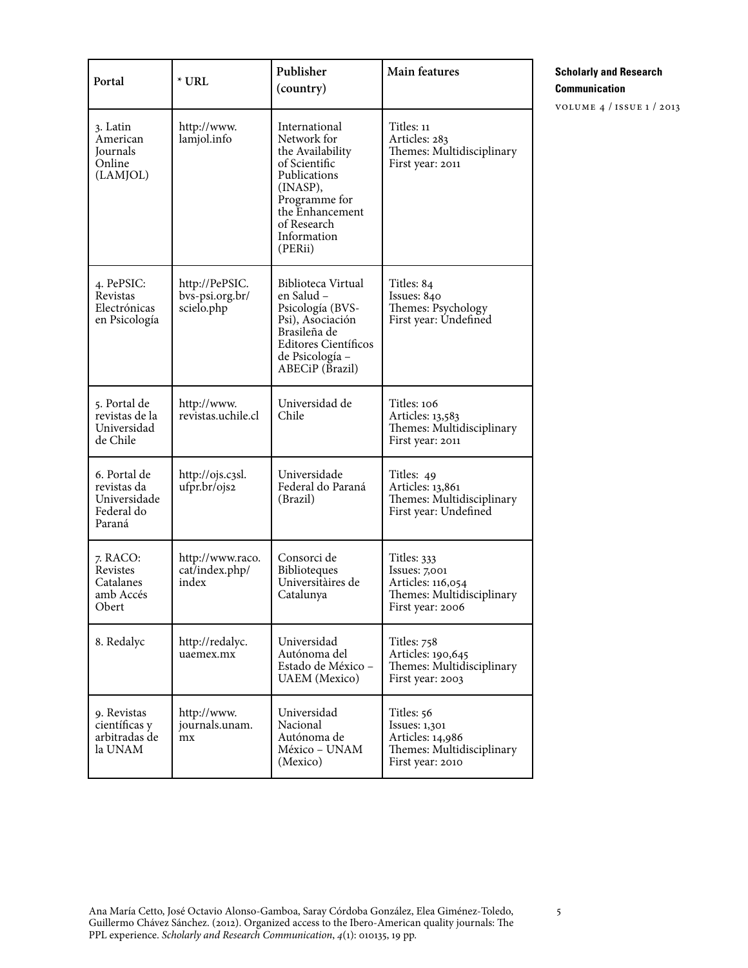| Portal                                                              | $*$ URL                                         | Publisher<br>(country)                                                                                                                                                     | Main features                                                                                      |
|---------------------------------------------------------------------|-------------------------------------------------|----------------------------------------------------------------------------------------------------------------------------------------------------------------------------|----------------------------------------------------------------------------------------------------|
| 3. Latin<br>American<br>Journals<br>Online<br>(LAMJOL)              | http://www.<br>lamjol.info                      | International<br>Network for<br>the Availability<br>of Scientific<br>Publications<br>(INASP),<br>Programme for<br>the Enhancement<br>of Research<br>Information<br>(PERii) | Titles: 11<br>Articles: 283<br>Themes: Multidisciplinary<br>First year: 2011                       |
| 4. PePSIC:<br>Revistas<br>Electrónicas<br>en Psicología             | http://PePSIC.<br>bvs-psi.org.br/<br>scielo.php | Biblioteca Virtual<br>en Salud –<br>Psicología (BVS-<br>Psi), Asociación<br>Brasileña de<br><b>Editores Científicos</b><br>de Psicología -<br>ABECiP (Brazil)              | Titles: 84<br>Issues: 840<br>Themes: Psychology<br>First year: Undefined                           |
| 5. Portal de<br>revistas de la<br>Universidad<br>de Chile           | http://www.<br>revistas.uchile.cl               | Universidad de<br>Chile                                                                                                                                                    | Titles: 106<br>Articles: 13,583<br>Themes: Multidisciplinary<br>First year: 2011                   |
| 6. Portal de<br>revistas da<br>Universidade<br>Federal do<br>Paraná | http://ojs.c3sl.<br>ufpr.br/ojs2                | Universidade<br>Federal do Paraná<br>(Brazil)                                                                                                                              | Titles: 49<br>Articles: 13,861<br>Themes: Multidisciplinary<br>First year: Undefined               |
| 7. RACO:<br>Revistes<br>Catalanes<br>amb Accés<br>Obert             | http://www.raco.<br>cat/index.php/<br>index     | Consorci de<br>Biblioteques<br>Universitàires de<br>Catalunya                                                                                                              | Titles: 333<br>Issues: 7,001<br>Articles: 116,054<br>Themes: Multidisciplinary<br>First year: 2006 |
| 8. Redalyc                                                          | http://redalyc.<br>uaemex.mx                    | Universidad<br>Autónoma del<br>Estado de México -<br><b>UAEM</b> (Mexico)                                                                                                  | Titles: 758<br>Articles: 190,645<br>Themes: Multidisciplinary<br>First year: 2003                  |
| 9. Revistas<br>científicas y<br>arbitradas de<br>la UNAM            | http://www.<br>journals.unam.<br>mx             | Universidad<br>Nacional<br>Autónoma de<br>México - UNAM<br>(Mexico)                                                                                                        | Titles: 56<br>Issues: 1,301<br>Articles: 14,986<br>Themes: Multidisciplinary<br>First year: 2010   |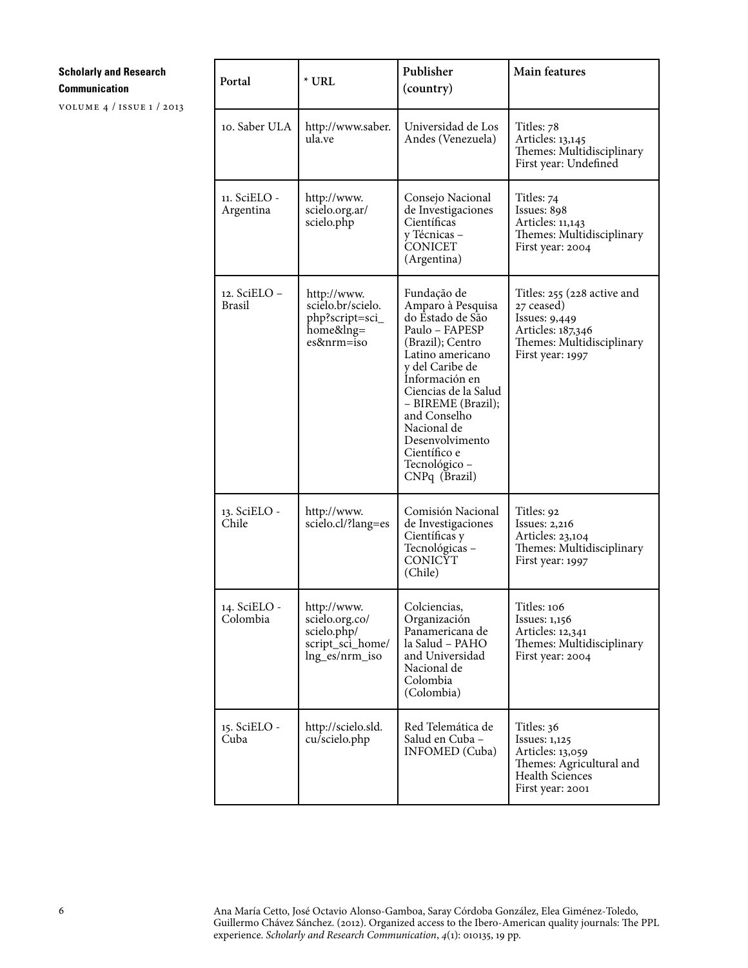volume 4 / issue 1 / 2013

| Portal                        | $*$ URL                                                                            | Publisher<br>(country)                                                                                                                                                                                                                                                                                | <b>Main features</b>                                                                                                             |  |
|-------------------------------|------------------------------------------------------------------------------------|-------------------------------------------------------------------------------------------------------------------------------------------------------------------------------------------------------------------------------------------------------------------------------------------------------|----------------------------------------------------------------------------------------------------------------------------------|--|
| 10. Saber ULA                 | http://www.saber.<br>ula.ve                                                        | Universidad de Los<br>Andes (Venezuela)                                                                                                                                                                                                                                                               | Titles: 78<br>Articles: 13,145<br>Themes: Multidisciplinary<br>First year: Undefined                                             |  |
| 11. SciELO -<br>Argentina     | http://www.<br>scielo.org.ar/<br>scielo.php                                        | Consejo Nacional<br>de Investigaciones<br>Científicas<br>y Técnicas –<br><b>CONICET</b><br>(Argentina)                                                                                                                                                                                                | Titles: 74<br>Issues: 898<br>Articles: 11,143<br>Themes: Multidisciplinary<br>First year: 2004                                   |  |
| 12. SciELO –<br><b>Brasil</b> | http://www.<br>scielo.br/scielo.<br>php?script=sci_<br>home&lng=<br>es&nrm=iso     | Fundação de<br>Amparo à Pesquisa<br>do Ēstado de São<br>Paulo - FAPESP<br>(Brazil); Centro<br>Latino americano<br>y del Caribe de<br>Información en<br>Ciencias de la Salud<br>- BIREME (Brazil);<br>and Conselho<br>Nacional de<br>Desenvolvimento<br>Científico e<br>Tecnológico -<br>CNPq (Brazil) | Titles: 255 (228 active and<br>27 ceased)<br>Issues: 9,449<br>Articles: 187,346<br>Themes: Multidisciplinary<br>First year: 1997 |  |
| 13. SciELO -<br>Chile         | http://www.<br>scielo.cl/?lang=es                                                  | Comisión Nacional<br>de Investigaciones<br>Científicas y<br>Tecnológicas -<br><b>CONICYT</b><br>(Chile)                                                                                                                                                                                               | Titles: 92<br>Issues: $2,216$<br>Articles: 23,104<br>Themes: Multidisciplinary<br>First year: 1997                               |  |
| 14. SciELO -<br>Colombia      | http://www.<br>scielo.org.co/<br>scielo.php/<br>script_sci_home/<br>lng_es/nrm_iso | Colciencias,<br>Organización<br>Panamericana de<br>la Salud - PAHO<br>and Universidad<br>Nacional de<br>Colombia<br>(Colombia)                                                                                                                                                                        | Titles: 106<br>Issues: $1,156$<br>Articles: 12,341<br>Themes: Multidisciplinary<br>First year: 2004                              |  |
| 15. SciELO -<br>Cuba          | http://scielo.sld.<br>cu/scielo.php                                                | Red Telemática de<br>Salud en Cuba -<br><b>INFOMED</b> (Cuba)                                                                                                                                                                                                                                         | Titles: 36<br><b>Issues: 1,125</b><br>Articles: 13,059<br>Themes: Agricultural and<br><b>Health Sciences</b><br>First year: 2001 |  |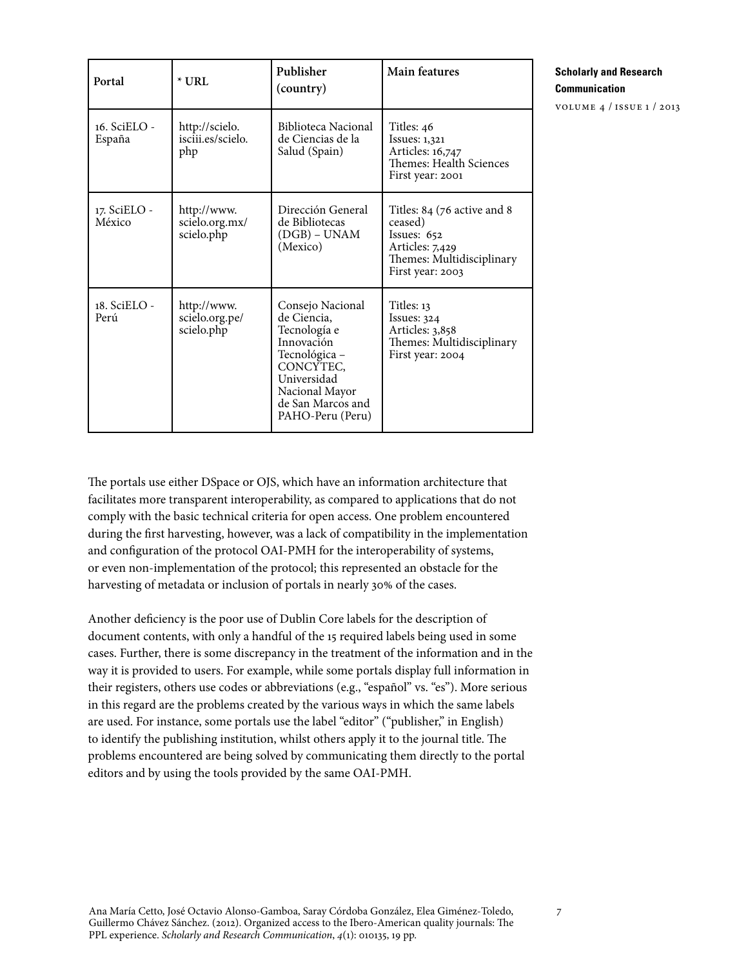| Portal                 | $*$ URL                                     | Publisher<br>(country)                                                                                                                                                | Main features                                                                                                             |
|------------------------|---------------------------------------------|-----------------------------------------------------------------------------------------------------------------------------------------------------------------------|---------------------------------------------------------------------------------------------------------------------------|
| 16. SciELO -<br>España | http://scielo.<br>isciii.es/scielo.<br>php  | Biblioteca Nacional<br>de Ciencias de la<br>Salud (Spain)                                                                                                             | Titles: 46<br>Issues: 1,321<br>Articles: 16,747<br>Themes: Health Sciences<br>First year: 2001                            |
| 17. SciELO -<br>México | http://www.<br>scielo.org.mx/<br>scielo.php | Dirección General<br>de Bibliotecas<br>(DGB) – UNAM<br>(Mexico)                                                                                                       | Titles: 84 (76 active and 8<br>ceased)<br>Issues: 652<br>Articles: 7,429<br>Themes: Multidisciplinary<br>First year: 2003 |
| 18. SciELO -<br>Perú   | http://www.<br>scielo.org.pe/<br>scielo.php | Consejo Nacional<br>de Ciencia.<br>Tecnología e<br>Innovación<br>Tecnológica -<br>CONCYTEC,<br>Universidad<br>Nacional Mayor<br>de San Marcos and<br>PAHO-Peru (Peru) | Titles: 13<br>Issues: 324<br>Articles: 3,858<br>Themes: Multidisciplinary<br>First year: 2004                             |

volume 4 / issue 1 / 2013

The portals use either DSpace or OJS, which have an information architecture that facilitates more transparent interoperability, as compared to applications that do not comply with the basic technical criteria for open access. One problem encountered during the first harvesting, however, was a lack of compatibility in the implementation and configuration of the protocol OAI-PMH for the interoperability of systems, or even non-implementation of the protocol; this represented an obstacle for the harvesting of metadata or inclusion of portals in nearly 30% of the cases.

Another deficiency is the poor use of Dublin Core labels for the description of document contents, with only a handful of the 15 required labels being used in some cases. Further, there is some discrepancy in the treatment of the information and in the way it is provided to users. For example, while some portals display full information in their registers, others use codes or abbreviations (e.g., "español" vs. "es"). More serious in this regard are the problems created by the various ways in which the same labels are used. For instance, some portals use the label "editor" ("publisher," in English) to identify the publishing institution, whilst others apply it to the journal title. The problems encountered are being solved by communicating them directly to the portal editors and by using the tools provided by the same OAI-PMH.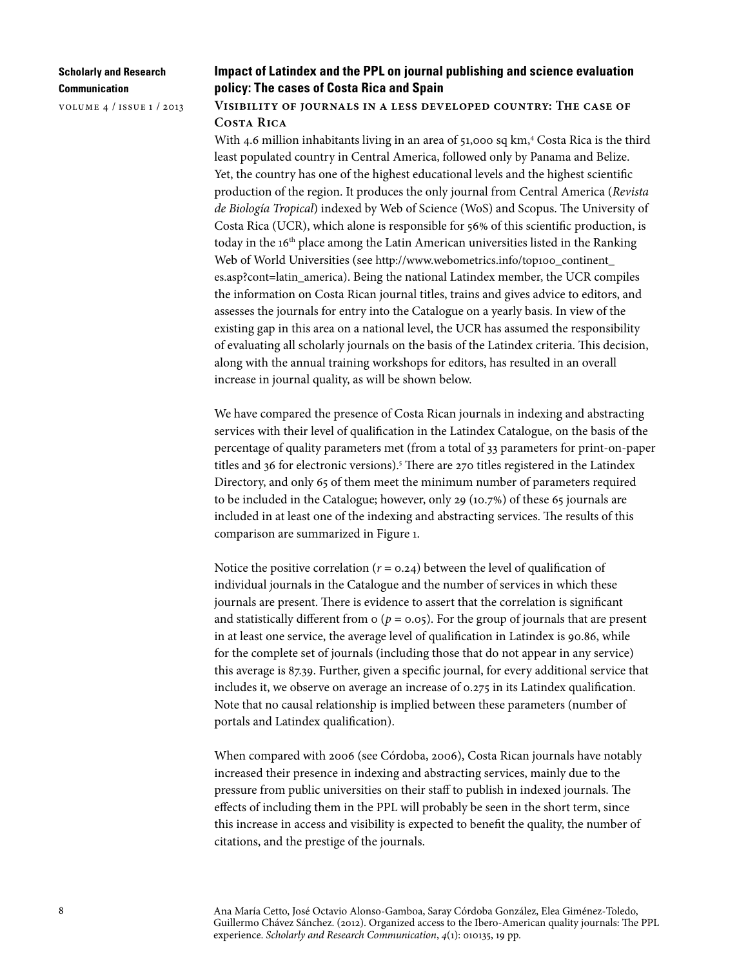volume 4 / issue 1 / 2013

# **Impact of Latindex and the PPL on journal publishing and science evaluation policy: The cases of Costa Rica and Spain**

# **Visibility of journals in a less developed country: The case of Costa Rica**

With 4.6 million inhabitants living in an area of 51,000 sq km,<sup>4</sup> Costa Rica is the third least populated country in Central America, followed only by Panama and Belize. Yet, the country has one of the highest educational levels and the highest scientific production of the region. It produces the only journal from Central America (*Revista de Biología Tropical*) indexed by Web of Science (WoS) and Scopus. The University of Costa Rica (UCR), which alone is responsible for 56% of this scientific production, is today in the 16<sup>th</sup> place among the Latin American universities listed in the Ranking Web of World Universities (see http://www.webometrics.info/top100\_continent [es.asp?cont=latin\\_america\)](http://www.webometrics.info/top100_continent_es.asp?cont=latin_america). Being the national Latindex member, the UCR compiles the information on Costa Rican journal titles, trains and gives advice to editors, and assesses the journals for entry into the Catalogue on a yearly basis. In view of the existing gap in this area on a national level, the UCR has assumed the responsibility of evaluating all scholarly journals on the basis of the Latindex criteria. This decision, along with the annual training workshops for editors, has resulted in an overall increase in journal quality, as will be shown below.

We have compared the presence of Costa Rican journals in indexing and abstracting services with their level of qualification in the Latindex Catalogue, on the basis of the percentage of quality parameters met (from a total of 33 parameters for print-on-paper titles and 36 for electronic versions).<sup>5</sup> There are 270 titles registered in the Latindex Directory, and only 65 of them meet the minimum number of parameters required to be included in the Catalogue; however, only 29 (10.7%) of these 65 journals are included in at least one of the indexing and abstracting services. The results of this comparison are summarized in Figure 1.

Notice the positive correlation  $(r = 0.24)$  between the level of qualification of individual journals in the Catalogue and the number of services in which these journals are present. There is evidence to assert that the correlation is significant and statistically different from  $\sigma$  ( $p = 0.05$ ). For the group of journals that are present in at least one service, the average level of qualification in Latindex is 90.86, while for the complete set of journals (including those that do not appear in any service) this average is 87.39. Further, given a specific journal, for every additional service that includes it, we observe on average an increase of 0.275 in its Latindex qualification. Note that no causal relationship is implied between these parameters (number of portals and Latindex qualification).

When compared with 2006 (see Córdoba, 2006), Costa Rican journals have notably increased their presence in indexing and abstracting services, mainly due to the pressure from public universities on their staff to publish in indexed journals. The effects of including them in the PPL will probably be seen in the short term, since this increase in access and visibility is expected to benefit the quality, the number of citations, and the prestige of the journals.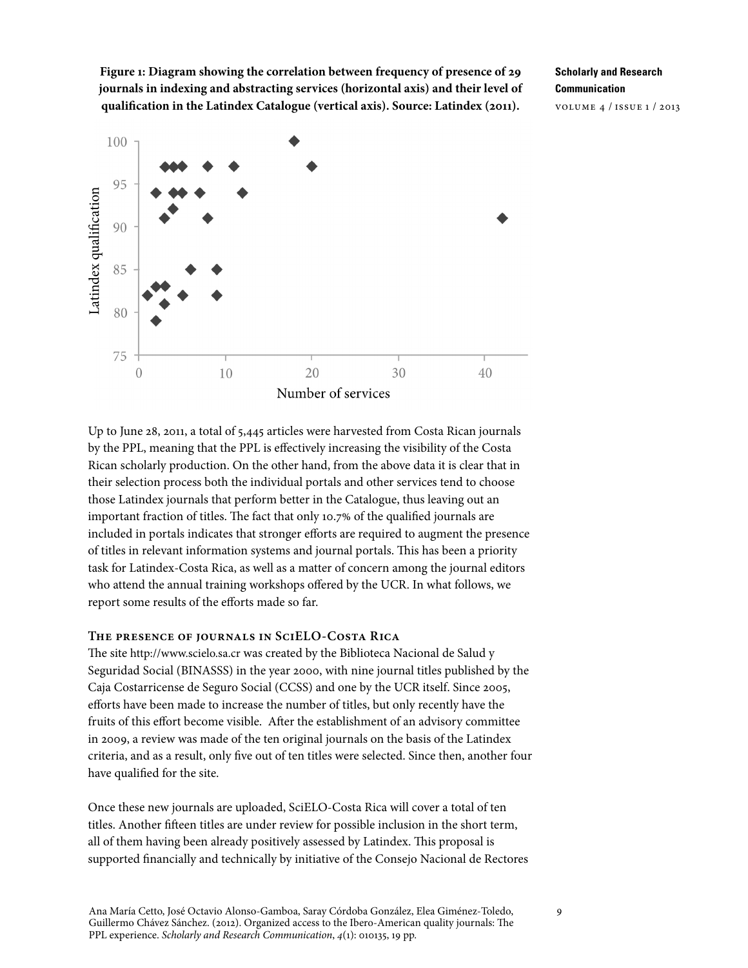**Figure 1: Diagram showing the correlation between frequency of presence of 29 journals in indexing and abstracting services (horizontal axis) and their level of qualification in the Latindex Catalogue (vertical axis). Source: Latindex (2011).**

**Scholarly and Research Communication** volume 4 / issue 1 / 2013



Up to June 28, 2011, a total of 5,445 articles were harvested from Costa Rican journals by the PPL, meaning that the PPL is effectively increasing the visibility of the Costa Rican scholarly production. On the other hand, from the above data it is clear that in their selection process both the individual portals and other services tend to choose those Latindex journals that perform better in the Catalogue, thus leaving out an important fraction of titles. The fact that only 10.7% of the qualified journals are included in portals indicates that stronger efforts are required to augment the presence of titles in relevant information systems and journal portals. This has been a priority task for Latindex-Costa Rica, as well as a matter of concern among the journal editors who attend the annual training workshops offered by the UCR. In what follows, we report some results of the efforts made so far.

## **The presence of journals in SciELO-Costa Rica**

The site [http://www.scielo.sa.cr](http://www.scielo.sa.cr/) was created by the Biblioteca Nacional de Salud y Seguridad Social (BINASSS) in the year 2000, with nine journal titles published by the Caja Costarricense de Seguro Social (CCSS) and one by the UCR itself. Since 2005, efforts have been made to increase the number of titles, but only recently have the fruits of this effort become visible. After the establishment of an advisory committee in 2009, a review was made of the ten original journals on the basis of the Latindex criteria, and as a result, only five out of ten titles were selected. Since then, another four have qualified for the site.

Once these new journals are uploaded, SciELO-Costa Rica will cover a total of ten titles. Another fifteen titles are under review for possible inclusion in the short term, all of them having been already positively assessed by Latindex. This proposal is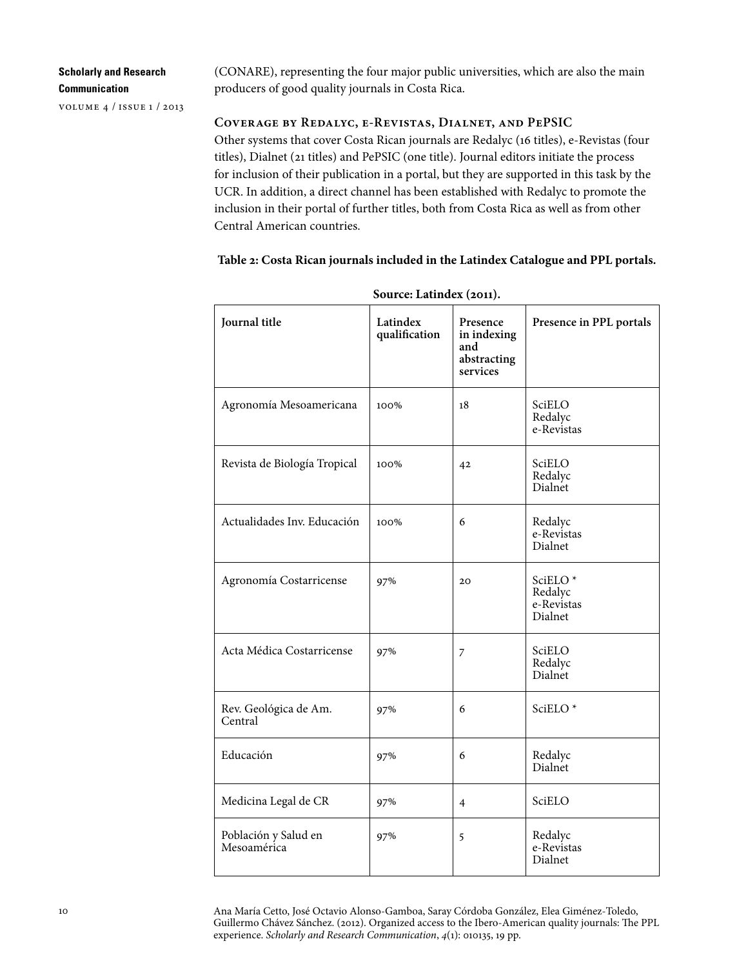| <b>Scholarly and Research</b> |  |
|-------------------------------|--|
| Communication                 |  |

volume 4 / issue 1 / 2013

(CONARE), representing the four major public universities, which are also the main producers of good quality journals in Costa Rica.

# **Coverage by Redalyc, e-Revistas, Dialnet, and PePSIC**

Other systems that cover Costa Rican journals are Redalyc (16 titles), e-Revistas (four titles), Dialnet (21 titles) and PePSIC (one title). Journal editors initiate the process for inclusion of their publication in a portal, but they are supported in this task by the UCR. In addition, a direct channel has been established with Redalyc to promote the inclusion in their portal of further titles, both from Costa Rica as well as from other Central American countries.

**Table 2: Costa Rican journals included in the Latindex Catalogue and PPL portals.** 

| Journal title                       | Latindex<br>qualification | Presence<br>in indexing<br>and<br>abstracting<br>services | Presence in PPL portals                     |
|-------------------------------------|---------------------------|-----------------------------------------------------------|---------------------------------------------|
| Agronomía Mesoamericana             | 100%                      | 18                                                        | SciELO<br>Redalyc<br>e-Revistas             |
| Revista de Biología Tropical        | 100%                      | 42                                                        | SciELO<br>Redalyc<br>Dialnet                |
| Actualidades Inv. Educación         | 100%                      | 6                                                         | Redalyc<br>e-Revistas<br>Dialnet            |
| Agronomía Costarricense             | 97%                       | 20                                                        | SciELO*<br>Redalyc<br>e-Revistas<br>Dialnet |
| Acta Médica Costarricense           | 97%                       | 7                                                         | SciELO<br>Redalyc<br>Dialnet                |
| Rev. Geológica de Am.<br>Central    | 97%                       | 6                                                         | SciELO <sup>*</sup>                         |
| Educación                           | 97%                       | 6                                                         | Redalyc<br>Dialnet                          |
| Medicina Legal de CR                | 97%                       | $\overline{4}$                                            | SciELO                                      |
| Población y Salud en<br>Mesoamérica | 97%                       | 5                                                         | Redalyc<br>e-Revistas<br>Dialnet            |

**Source: Latindex (2011).**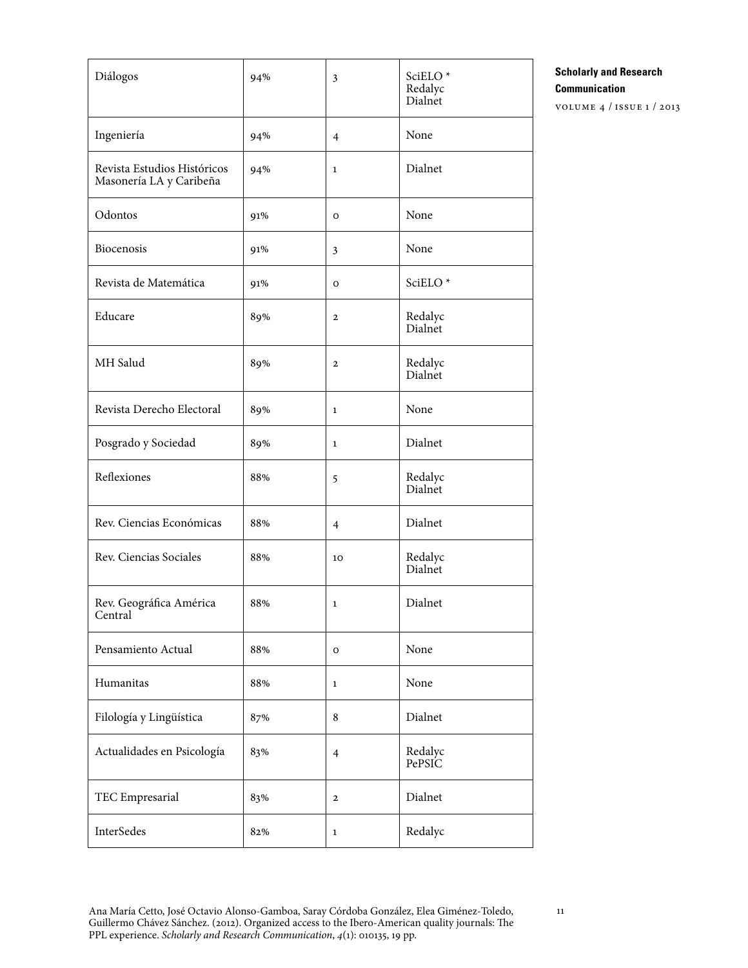| Diálogos                                               | 94% | 3              | SciELO*<br>Redalyc<br>Dialnet |
|--------------------------------------------------------|-----|----------------|-------------------------------|
| Ingeniería                                             | 94% | $\overline{4}$ | None                          |
| Revista Estudios Históricos<br>Masonería LA y Caribeña | 94% | $\mathbf{1}$   | Dialnet                       |
| Odontos                                                | 91% | $\circ$        | None                          |
| Biocenosis                                             | 91% | $\mathbf{3}$   | None                          |
| Revista de Matemática                                  | 91% | O              | SciELO <sup>*</sup>           |
| Educare                                                | 89% | $\mathbf{2}$   | Redalyc<br>Dialnet            |
| MH Salud                                               | 89% | $\mathbf{2}$   | Redalyc<br>Dialnet            |
| Revista Derecho Electoral                              | 89% | $\mathbf{1}$   | None                          |
| Posgrado y Sociedad                                    | 89% | $\mathbf{1}$   | Dialnet                       |
| Reflexiones                                            | 88% | 5              | Redalyc<br>Dialnet            |
| Rev. Ciencias Económicas                               | 88% | $\overline{4}$ | Dialnet                       |
| Rev. Ciencias Sociales                                 | 88% | 10             | Redalyc<br>Dialnet            |
| Rev. Geográfica América<br>Central                     | 88% | 1              | Dialnet                       |
| Pensamiento Actual                                     | 88% | $\mathbf O$    | None                          |
| Humanitas                                              | 88% | $\mathbf{1}$   | None                          |
| Filología y Lingüística                                | 87% | 8              | Dialnet                       |
| Actualidades en Psicología                             | 83% | $\overline{4}$ | Redalyc<br>PePSIC             |
| TEC Empresarial                                        | 83% | $\mathbf{2}$   | Dialnet                       |
| InterSedes                                             | 82% | $\mathbf{1}$   | Redalyc                       |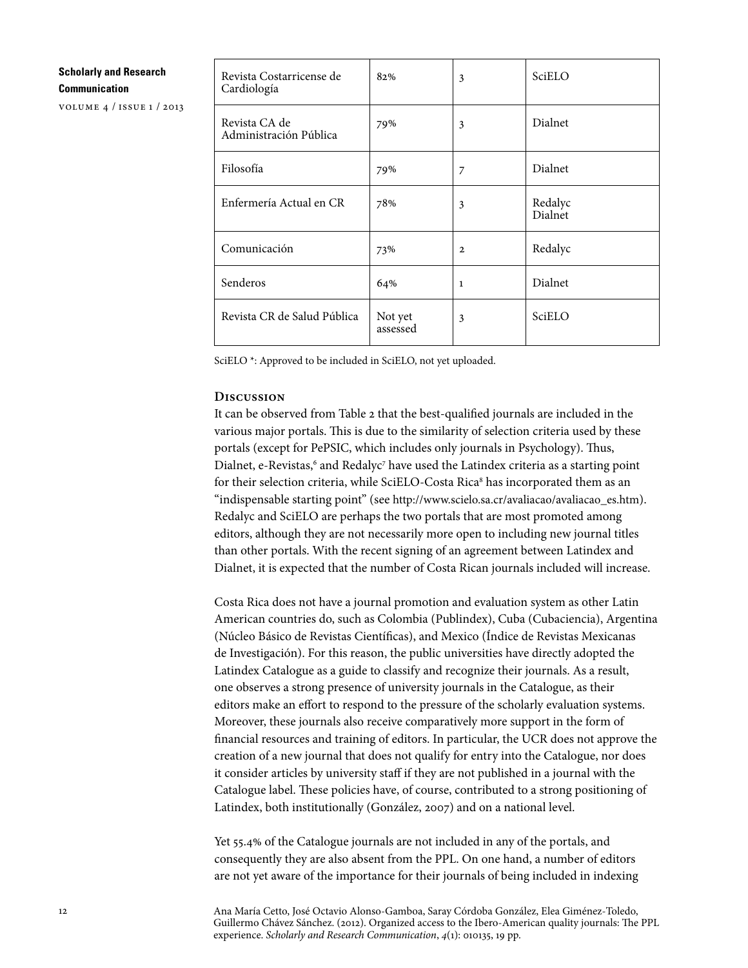volume 4 / issue 1 / 2013

| Revista Costarricense de<br>Cardiología | 82%                 | 3            | SciELO             |
|-----------------------------------------|---------------------|--------------|--------------------|
| Revista CA de<br>Administración Pública | 79%                 | 3            | Dialnet            |
| Filosofía                               | 79%                 | 7            | Dialnet            |
| Enfermería Actual en CR                 | 78%                 | 3            | Redalyc<br>Dialnet |
| Comunicación                            | 73%                 | $\mathbf{2}$ | Redalyc            |
| Senderos                                | 64%                 | $\mathbf{1}$ | Dialnet            |
| Revista CR de Salud Pública             | Not yet<br>assessed | 3            | SciELO             |

SciELO \*: Approved to be included in SciELO, not yet uploaded.

## **Discussion**

It can be observed from Table 2 that the best-qualified journals are included in the various major portals. This is due to the similarity of selection criteria used by these portals (except for PePSIC, which includes only journals in Psychology). Thus, Dialnet, e-Revistas,<sup>6</sup> and Redalyc<sup>7</sup> have used the Latindex criteria as a starting point for their selection criteria, while SciELO-Costa Rica<sup>s</sup> has incorporated them as an "indispensable starting point" (see [http://www.scielo.sa.cr/avaliacao/avaliacao\\_es.htm](http://www.scielo.sa.cr/avaliacao/ avaliacao_es.htm)). Redalyc and SciELO are perhaps the two portals that are most promoted among editors, although they are not necessarily more open to including new journal titles than other portals. With the recent signing of an agreement between Latindex and Dialnet, it is expected that the number of Costa Rican journals included will increase.

Costa Rica does not have a journal promotion and evaluation system as other Latin American countries do, such as Colombia (Publindex), Cuba (Cubaciencia), Argentina (Núcleo Básico de Revistas Científicas), and Mexico (Índice de Revistas Mexicanas de Investigación). For this reason, the public universities have directly adopted the Latindex Catalogue as a guide to classify and recognize their journals. As a result, one observes a strong presence of university journals in the Catalogue, as their editors make an effort to respond to the pressure of the scholarly evaluation systems. Moreover, these journals also receive comparatively more support in the form of financial resources and training of editors. In particular, the UCR does not approve the creation of a new journal that does not qualify for entry into the Catalogue, nor does it consider articles by university staff if they are not published in a journal with the Catalogue label. These policies have, of course, contributed to a strong positioning of Latindex, both institutionally (González, 2007) and on a national level.

Yet 55.4% of the Catalogue journals are not included in any of the portals, and consequently they are also absent from the PPL. On one hand, a number of editors are not yet aware of the importance for their journals of being included in indexing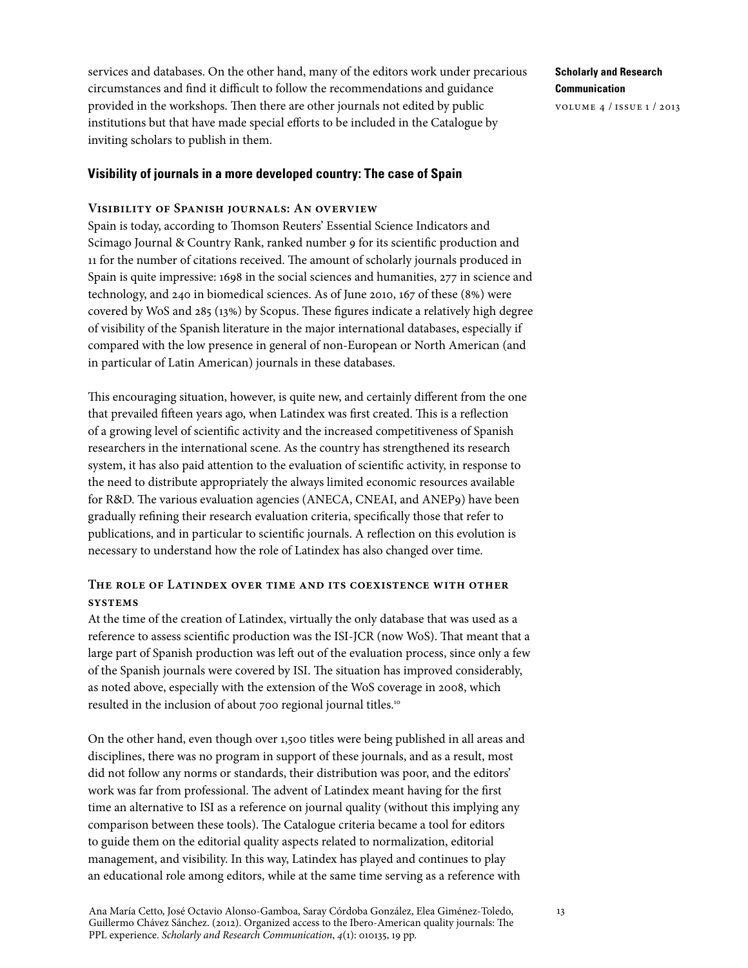services and databases. On the other hand, many of the editors work under precarious circumstances and find it difficult to follow the recommendations and guidance provided in the workshops. Then there are other journals not edited by public institutions but that have made special efforts to be included in the Catalogue by inviting scholars to publish in them.

# **Visibility of journals in a more developed country: The case of Spain**

# **Visibility of Spanish journals: An overview**

Spain is today, according to Thomson Reuters' Essential Science Indicators and Scimago Journal & Country Rank, ranked number 9 for its scientific production and 11 for the number of citations received. The amount of scholarly journals produced in Spain is quite impressive: 1698 in the social sciences and humanities, 277 in science and technology, and 240 in biomedical sciences. As of June 2010, 167 of these (8%) were covered by WoS and 285 (13%) by Scopus. These figures indicate a relatively high degree of visibility of the Spanish literature in the major international databases, especially if compared with the low presence in general of non-European or North American (and in particular of Latin American) journals in these databases.

This encouraging situation, however, is quite new, and certainly different from the one that prevailed fifteen years ago, when Latindex was first created. This is a reflection of a growing level of scientific activity and the increased competitiveness of Spanish researchers in the international scene. As the country has strengthened its research system, it has also paid attention to the evaluation of scientific activity, in response to the need to distribute appropriately the always limited economic resources available for R&D. The various evaluation agencies (ANECA, CNEAI, and ANEP9) have been gradually refining their research evaluation criteria, specifically those that refer to publications, and in particular to scientific journals. A reflection on this evolution is necessary to understand how the role of Latindex has also changed over time.

# **The role of Latindex over time and its coexistence with other systems**

At the time of the creation of Latindex, virtually the only database that was used as a reference to assess scientific production was the ISI-JCR (now WoS). That meant that a large part of Spanish production was left out of the evaluation process, since only a few of the Spanish journals were covered by ISI. The situation has improved considerably, as noted above, especially with the extension of the WoS coverage in 2008, which resulted in the inclusion of about 700 regional journal titles.10

On the other hand, even though over 1,500 titles were being published in all areas and disciplines, there was no program in support of these journals, and as a result, most did not follow any norms or standards, their distribution was poor, and the editors' work was far from professional. The advent of Latindex meant having for the first time an alternative to ISI as a reference on journal quality (without this implying any comparison between these tools). The Catalogue criteria became a tool for editors to guide them on the editorial quality aspects related to normalization, editorial management, and visibility. In this way, Latindex has played and continues to play an educational role among editors, while at the same time serving as a reference with

**Scholarly and Research Communication** volume 4 / issue 1 / 2013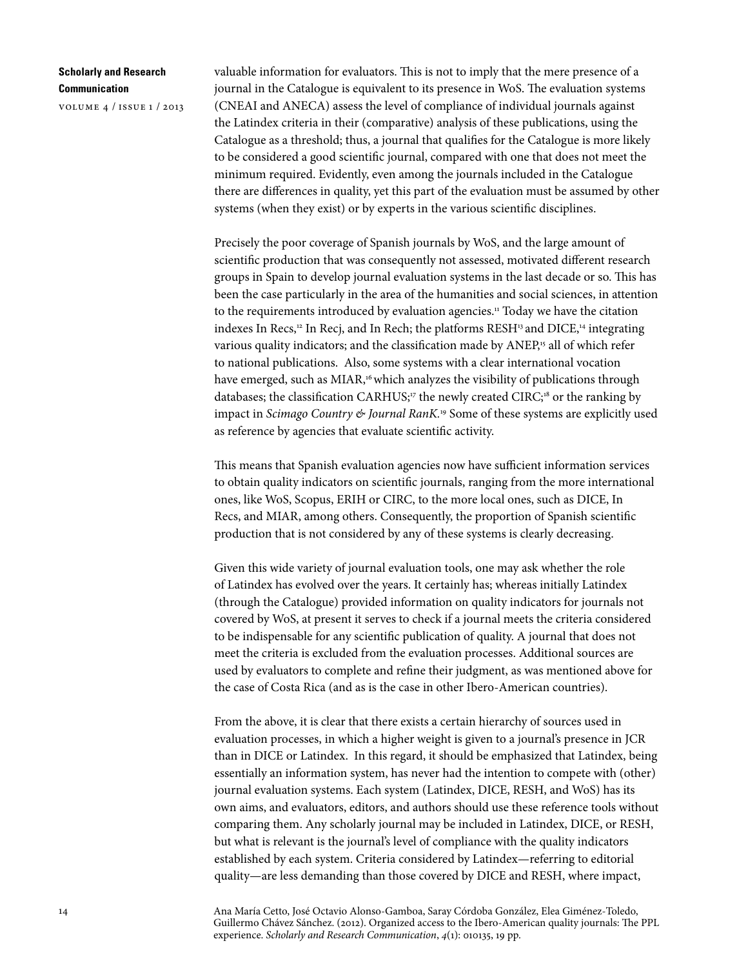volume 4 / issue 1 / 2013

valuable information for evaluators. This is not to imply that the mere presence of a journal in the Catalogue is equivalent to its presence in WoS. The evaluation systems (CNEAI and ANECA) assess the level of compliance of individual journals against the Latindex criteria in their (comparative) analysis of these publications, using the Catalogue as a threshold; thus, a journal that qualifies for the Catalogue is more likely to be considered a good scientific journal, compared with one that does not meet the minimum required. Evidently, even among the journals included in the Catalogue there are differences in quality, yet this part of the evaluation must be assumed by other systems (when they exist) or by experts in the various scientific disciplines.

Precisely the poor coverage of Spanish journals by WoS, and the large amount of scientific production that was consequently not assessed, motivated different research groups in Spain to develop journal evaluation systems in the last decade or so. This has been the case particularly in the area of the humanities and social sciences, in attention to the requirements introduced by evaluation agencies.<sup>11</sup> Today we have the citation indexes In Recs, $12 \text{ In }$  Recj, and In Rech; the platforms RESH<sup>13</sup> and DICE, $14$  integrating various quality indicators; and the classification made by ANEP,<sup>15</sup> all of which refer to national publications. Also, some systems with a clear international vocation have emerged, such as MIAR,<sup>16</sup> which analyzes the visibility of publications through databases; the classification CARHUS;<sup>17</sup> the newly created CIRC;<sup>18</sup> or the ranking by impact in *Scimago Country & Journal RanK.*<sup>19</sup> Some of these systems are explicitly used as reference by agencies that evaluate scientific activity.

This means that Spanish evaluation agencies now have sufficient information services to obtain quality indicators on scientific journals, ranging from the more international ones, like WoS, Scopus, ERIH or CIRC, to the more local ones, such as DICE, In Recs, and MIAR, among others. Consequently, the proportion of Spanish scientific production that is not considered by any of these systems is clearly decreasing.

Given this wide variety of journal evaluation tools, one may ask whether the role of Latindex has evolved over the years. It certainly has; whereas initially Latindex (through the Catalogue) provided information on quality indicators for journals not covered by WoS, at present it serves to check if a journal meets the criteria considered to be indispensable for any scientific publication of quality. A journal that does not meet the criteria is excluded from the evaluation processes. Additional sources are used by evaluators to complete and refine their judgment, as was mentioned above for the case of Costa Rica (and as is the case in other Ibero-American countries).

From the above, it is clear that there exists a certain hierarchy of sources used in evaluation processes, in which a higher weight is given to a journal's presence in JCR than in DICE or Latindex. In this regard, it should be emphasized that Latindex, being essentially an information system, has never had the intention to compete with (other) journal evaluation systems. Each system (Latindex, DICE, RESH, and WoS) has its own aims, and evaluators, editors, and authors should use these reference tools without comparing them. Any scholarly journal may be included in Latindex, DICE, or RESH, but what is relevant is the journal's level of compliance with the quality indicators established by each system. Criteria considered by Latindex—referring to editorial quality—are less demanding than those covered by DICE and RESH, where impact,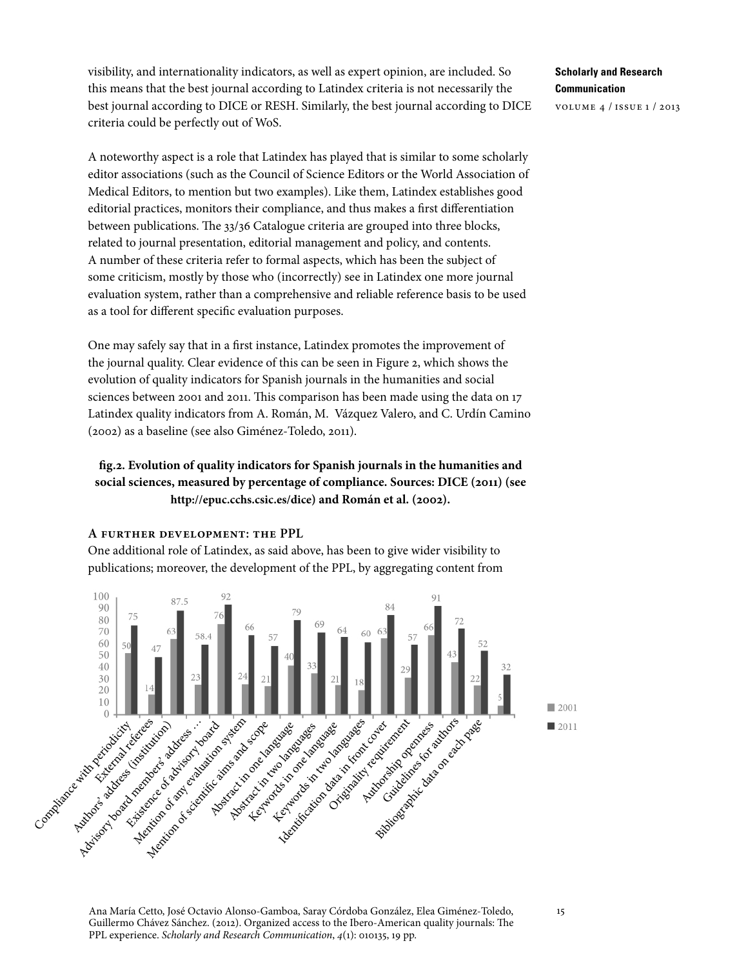visibility, and internationality indicators, as well as expert opinion, are included. So this means that the best journal according to Latindex criteria is not necessarily the best journal according to DICE or RESH. Similarly, the best journal according to DICE criteria could be perfectly out of WoS.

A noteworthy aspect is a role that Latindex has played that is similar to some scholarly editor associations (such as the Council of Science Editors or the World Association of Medical Editors, to mention but two examples). Like them, Latindex establishes good editorial practices, monitors their compliance, and thus makes a first differentiation between publications. The 33/36 Catalogue criteria are grouped into three blocks, related to journal presentation, editorial management and policy, and contents. A number of these criteria refer to formal aspects, which has been the subject of some criticism, mostly by those who (incorrectly) see in Latindex one more journal evaluation system, rather than a comprehensive and reliable reference basis to be used as a tool for different specific evaluation purposes.

One may safely say that in a first instance, Latindex promotes the improvement of the journal quality. Clear evidence of this can be seen in Figure 2, which shows the evolution of quality indicators for Spanish journals in the humanities and social sciences between 2001 and 2011. This comparison has been made using the data on 17 Latindex quality indicators from A. Román, M. Vázquez Valero, and C. Urdín Camino (2002) as a baseline (see also Giménez-Toledo, 2011).

# **fig.2. Evolution of quality indicators for Spanish journals in the humanities and social sciences, measured by percentage of compliance. Sources: DICE (2011) (see <http://epuc.cchs.csic.es/dice>) and Román et al. (2002).**

## **A further development: the PPL**

One additional role of Latindex, as said above, has been to give wider visibility to publications; moreover, the development of the PPL, by aggregating content from



**Scholarly and Research Communication** volume 4 / issue 1 / 2013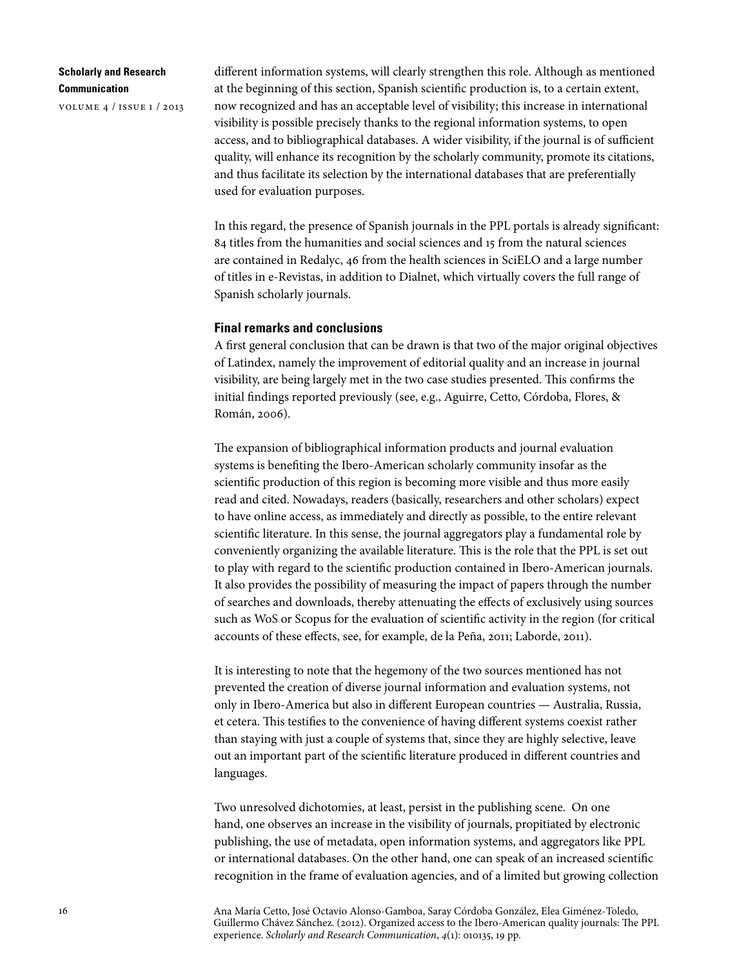volume 4 / issue 1 / 2013

different information systems, will clearly strengthen this role. Although as mentioned at the beginning of this section, Spanish scientific production is, to a certain extent, now recognized and has an acceptable level of visibility; this increase in international visibility is possible precisely thanks to the regional information systems, to open access, and to bibliographical databases. A wider visibility, if the journal is of sufficient quality, will enhance its recognition by the scholarly community, promote its citations, and thus facilitate its selection by the international databases that are preferentially used for evaluation purposes.

In this regard, the presence of Spanish journals in the PPL portals is already significant: 84 titles from the humanities and social sciences and 15 from the natural sciences are contained in Redalyc, 46 from the health sciences in SciELO and a large number of titles in e-Revistas, in addition to Dialnet, which virtually covers the full range of Spanish scholarly journals.

#### **Final remarks and conclusions**

A first general conclusion that can be drawn is that two of the major original objectives of Latindex, namely the improvement of editorial quality and an increase in journal visibility, are being largely met in the two case studies presented. This confirms the initial findings reported previously (see, e.g., Aguirre, Cetto, Córdoba, Flores, & Román, 2006).

The expansion of bibliographical information products and journal evaluation systems is benefiting the Ibero-American scholarly community insofar as the scientific production of this region is becoming more visible and thus more easily read and cited. Nowadays, readers (basically, researchers and other scholars) expect to have online access, as immediately and directly as possible, to the entire relevant scientific literature. In this sense, the journal aggregators play a fundamental role by conveniently organizing the available literature. This is the role that the PPL is set out to play with regard to the scientific production contained in Ibero-American journals. It also provides the possibility of measuring the impact of papers through the number of searches and downloads, thereby attenuating the effects of exclusively using sources such as WoS or Scopus for the evaluation of scientific activity in the region (for critical accounts of these effects, see, for example, de la Peña, 2011; Laborde, 2011).

It is interesting to note that the hegemony of the two sources mentioned has not prevented the creation of diverse journal information and evaluation systems, not only in Ibero-America but also in different European countries — Australia, Russia, et cetera. This testifies to the convenience of having different systems coexist rather than staying with just a couple of systems that, since they are highly selective, leave out an important part of the scientific literature produced in different countries and languages.

Two unresolved dichotomies, at least, persist in the publishing scene. On one hand, one observes an increase in the visibility of journals, propitiated by electronic publishing, the use of metadata, open information systems, and aggregators like PPL or international databases. On the other hand, one can speak of an increased scientific recognition in the frame of evaluation agencies, and of a limited but growing collection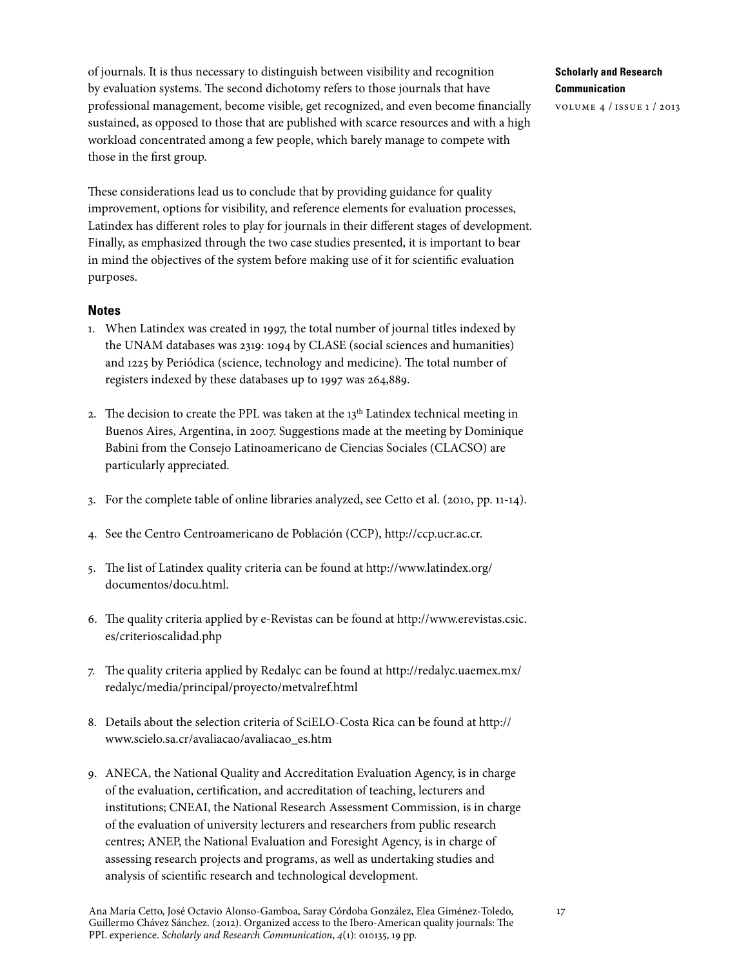of journals. It is thus necessary to distinguish between visibility and recognition by evaluation systems. The second dichotomy refers to those journals that have professional management, become visible, get recognized, and even become financially sustained, as opposed to those that are published with scarce resources and with a high workload concentrated among a few people, which barely manage to compete with those in the first group.

These considerations lead us to conclude that by providing guidance for quality improvement, options for visibility, and reference elements for evaluation processes, Latindex has different roles to play for journals in their different stages of development. Finally, as emphasized through the two case studies presented, it is important to bear in mind the objectives of the system before making use of it for scientific evaluation purposes.

## **Notes**

- 1. When Latindex was created in 1997, the total number of journal titles indexed by the UNAM databases was 2319: 1094 by CLASE (social sciences and humanities) and 1225 by Periódica (science, technology and medicine). The total number of registers indexed by these databases up to 1997 was 264,889.
- 2. The decision to create the PPL was taken at the  $13<sup>th</sup>$  Latindex technical meeting in Buenos Aires, Argentina, in 2007. Suggestions made at the meeting by Dominique Babini from the Consejo Latinoamericano de Ciencias Sociales (CLACSO) are particularly appreciated.
- 3. For the complete table of online libraries analyzed, see Cetto et al. (2010, pp. 11-14).
- 4. See the Centro Centroamericano de Población (CCP), [http://ccp.ucr.ac.cr.](http://ccp.ucr.ac.cr/)
- 5. The list of Latindex quality criteria can be found at [http://www.latindex.org/](http://www.latindex.org/documentos/docu.html) [documentos/docu.html.](http://www.latindex.org/documentos/docu.html)
- 6. The quality criteria applied by e-Revistas can be found at [http://www.erevistas.csic.](http://www.erevistas.csic.es/criterioscalidad.php) [es/criterioscalidad.php](http://www.erevistas.csic.es/criterioscalidad.php)
- 7. The quality criteria applied by Redalyc can be found at [http://redalyc.uaemex.mx/](http://redalyc.uaemex.mx/redalyc/media/principal/proyecto/metvalref.html) [redalyc/media/principal/proyecto/metvalref.html](http://redalyc.uaemex.mx/redalyc/media/principal/proyecto/metvalref.html)
- 8. Details about the selection criteria of SciELO-Costa Rica can be found at [http://](http://www.scielo.sa.cr/avaliacao/avaliacao_es.htm) [www.scielo.sa.cr/avaliacao/avaliacao\\_es.htm](http://www.scielo.sa.cr/avaliacao/avaliacao_es.htm)
- 9. ANECA, the National Quality and Accreditation Evaluation Agency, is in charge of the evaluation, certification, and accreditation of teaching, lecturers and institutions; CNEAI, the National Research Assessment Commission, is in charge of the evaluation of university lecturers and researchers from public research centres; ANEP, the National Evaluation and Foresight Agency, is in charge of assessing research projects and programs, as well as undertaking studies and analysis of scientific research and technological development.

# **Scholarly and Research Communication**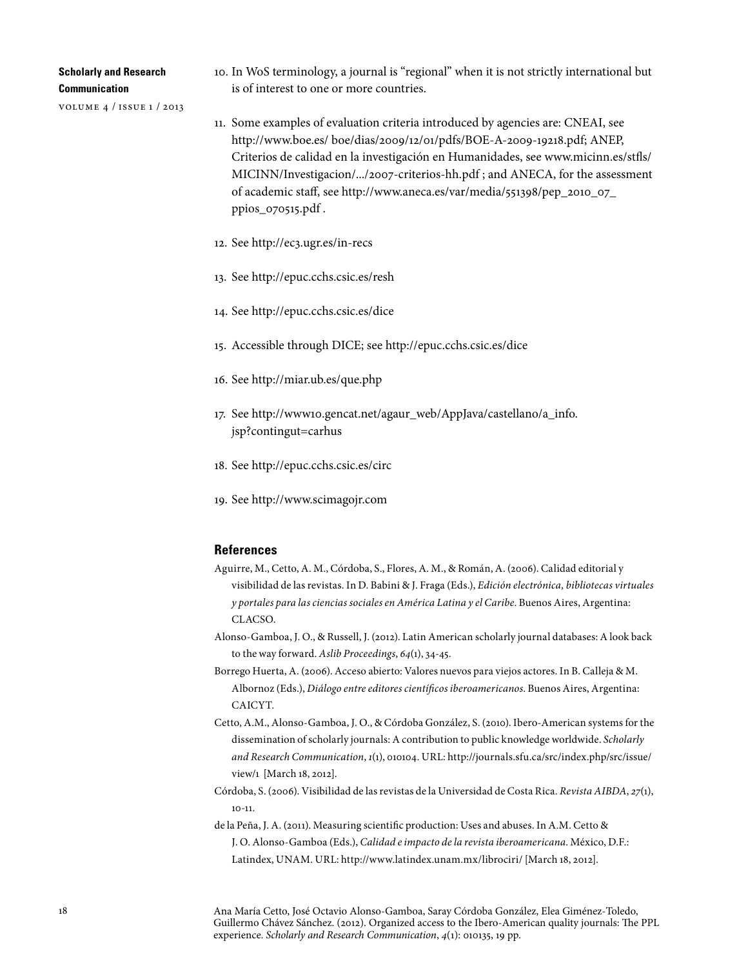volume 4 / issue 1 / 2013

- 10. In WoS terminology, a journal is "regional" when it is not strictly international but is of interest to one or more countries.
- 11. Some examples of evaluation criteria introduced by agencies are: CNEAI, see <http://www.boe.es/ boe/dias/2009/12/01/pdfs/BOE-A-2009-19218.pdf>; ANEP, Criterios de calidad en la investigación en Humanidades, see [www.micinn.es/stfls/](http://www.micinn.es/stfls/MICINN/Investigacion/.../2007-criterios-hh.pdf) [MICINN/Investigacion/.../2007-criterios-hh.pdf](http://www.micinn.es/stfls/MICINN/Investigacion/.../2007-criterios-hh.pdf) ; and ANECA, for the assessment of academic staff, see [http://www.aneca.es/var/media/551398/pep\\_2010\\_07\\_](http://www.aneca.es/var/media/551398/pep_2010_07_ppios_070515.pdf) [ppios\\_070515.pdf](http://www.aneca.es/var/media/551398/pep_2010_07_ppios_070515.pdf) .
- 12. See<http://ec3.ugr.es/in-recs>
- 13. See<http://epuc.cchs.csic.es/resh>
- 14. See<http://epuc.cchs.csic.es/dice>
- 15. Accessible through DICE; see <http://epuc.cchs.csic.es/dice>
- 16. See<http://miar.ub.es/que.php>
- 17. See [http://www10.gencat.net/agaur\\_web/AppJava/castellano/a\\_info.](http://www10.gencat.net/agaur_web/AppJava/castellano/a_info.jsp?contingut=carhus) [jsp?contingut=carhus](http://www10.gencat.net/agaur_web/AppJava/castellano/a_info.jsp?contingut=carhus)
- 18. See<http://epuc.cchs.csic.es/circ>
- 19. See<http://www.scimagojr.com>

## **References**

- Aguirre, M., Cetto, A. M., Córdoba, S., Flores, A. M., & Román, A. (2006). Calidad editorial y visibilidad de las revistas. In D. Babini & J. Fraga (Eds.), *Edición electrónica, bibliotecas virtuales y portales para las ciencias sociales en América Latina y el Caribe*. Buenos Aires, Argentina: CLACSO.
- Alonso-Gamboa, J. O., & Russell, J. (2012). Latin American scholarly journal databases: A look back to the way forward. *Aslib Proceedings*, *64*(1), 34-45.
- Borrego Huerta, A. (2006). Acceso abierto: Valores nuevos para viejos actores. In B. Calleja & M. Albornoz (Eds.), *Diálogo entre editores científicos iberoamericanos*. Buenos Aires, Argentina: CAICYT.
- Cetto, A.M., Alonso-Gamboa, J. O., & Córdoba González, S. (2010). Ibero-American systems for the dissemination of scholarly journals: A contribution to public knowledge worldwide. *Scholarly and Research Communication*, *1*(1), 010104. URL: [http://journals.sfu.ca/src/index.php/src/issue/](http://journals.sfu.ca/src/index.php/src/issue/view/1) [view/1](http://journals.sfu.ca/src/index.php/src/issue/view/1) [March 18, 2012].
- Córdoba, S. (2006). Visibilidad de las revistas de la Universidad de Costa Rica. *Revista AIBDA*, *27*(1),  $10 - 11$
- de la Peña, J. A. (2011). Measuring scientific production: Uses and abuses. In A.M. Cetto & J. O. Alonso-Gamboa (Eds.), *Calidad e impacto de la revista iberoamericana*. México, D.F.: Latindex, UNAM. URL:<http://www.latindex.unam.mx/librociri/>[March 18, 2012].